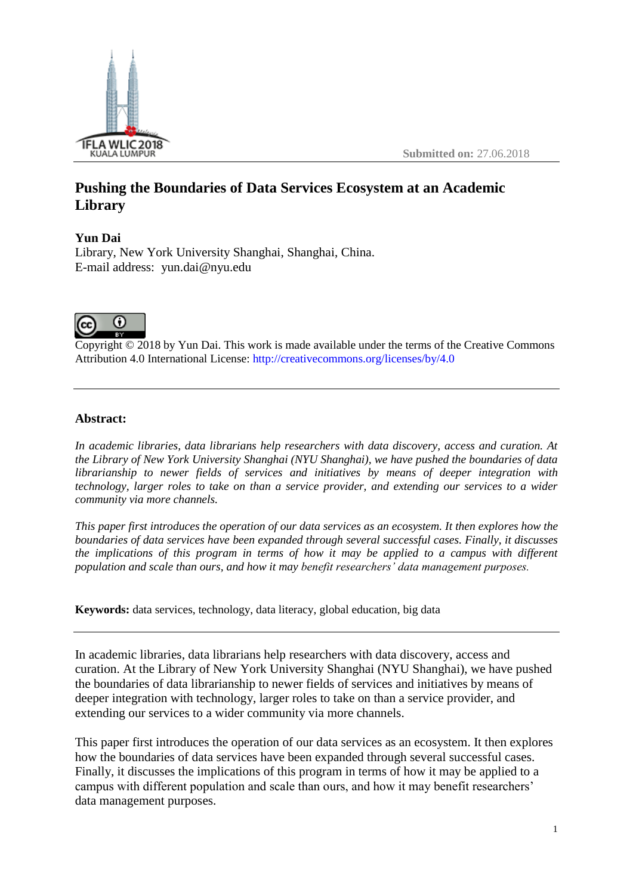

# **Pushing the Boundaries of Data Services Ecosystem at an Academic Library**

# **Yun Dai**

Library, New York University Shanghai, Shanghai, China. E-mail address: yun.dai@nyu.edu



Copyright © 2018 by Yun Dai. This work is made available under the terms of the Creative Commons Attribution 4.0 International License: <http://creativecommons.org/licenses/by/4.0>

# **Abstract:**

*In academic libraries, data librarians help researchers with data discovery, access and curation. At the Library of New York University Shanghai (NYU Shanghai), we have pushed the boundaries of data librarianship to newer fields of services and initiatives by means of deeper integration with technology, larger roles to take on than a service provider, and extending our services to a wider community via more channels.*

*This paper first introduces the operation of our data services as an ecosystem. It then explores how the boundaries of data services have been expanded through several successful cases. Finally, it discusses the implications of this program in terms of how it may be applied to a campus with different population and scale than ours, and how it may benefit researchers' data management purposes.*

**Keywords:** data services, technology, data literacy, global education, big data

In academic libraries, data librarians help researchers with data discovery, access and curation. At the Library of New York University Shanghai (NYU Shanghai), we have pushed the boundaries of data librarianship to newer fields of services and initiatives by means of deeper integration with technology, larger roles to take on than a service provider, and extending our services to a wider community via more channels.

This paper first introduces the operation of our data services as an ecosystem. It then explores how the boundaries of data services have been expanded through several successful cases. Finally, it discusses the implications of this program in terms of how it may be applied to a campus with different population and scale than ours, and how it may benefit researchers' data management purposes.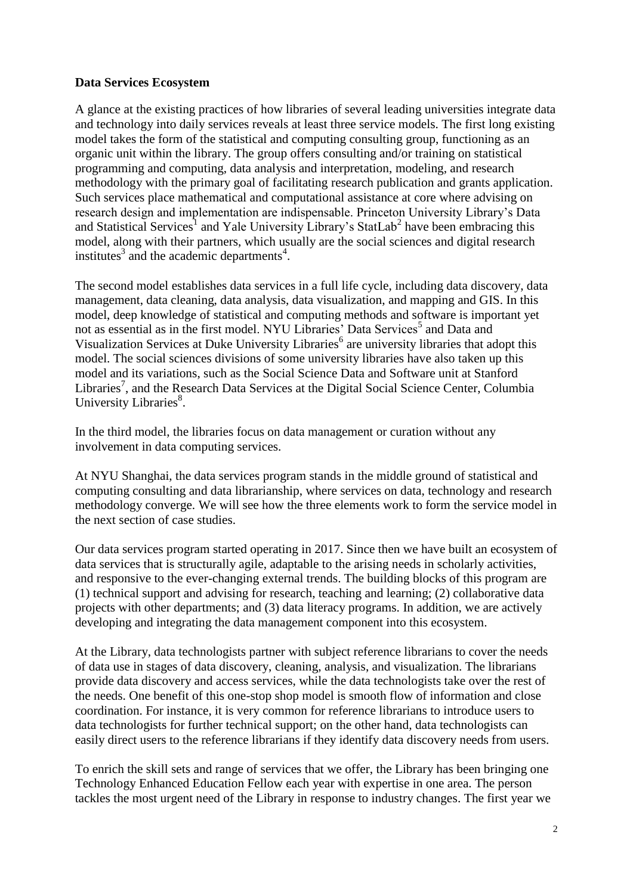# **Data Services Ecosystem**

A glance at the existing practices of how libraries of several leading universities integrate data and technology into daily services reveals at least three service models. The first long existing model takes the form of the statistical and computing consulting group, functioning as an organic unit within the library. The group offers consulting and/or training on statistical programming and computing, data analysis and interpretation, modeling, and research methodology with the primary goal of facilitating research publication and grants application. Such services place mathematical and computational assistance at core where advising on research design and implementation are indispensable. Princeton University Library's Data and Statistical Services<sup>1</sup> and Yale University Library's StatLab<sup>2</sup> have been embracing this model, along with their partners, which usually are the social sciences and digital research institutes<sup>3</sup> and the academic departments<sup>4</sup>.

The second model establishes data services in a full life cycle, including data discovery, data management, data cleaning, data analysis, data visualization, and mapping and GIS. In this model, deep knowledge of statistical and computing methods and software is important yet not as essential as in the first model. NYU Libraries' Data Services<sup>5</sup> and Data and Visualization Services at Duke University Libraries<sup>6</sup> are university libraries that adopt this model. The social sciences divisions of some university libraries have also taken up this model and its variations, such as the Social Science Data and Software unit at Stanford Libraries<sup>7</sup>, and the Research Data Services at the Digital Social Science Center, Columbia University Libraries<sup>8</sup>.

In the third model, the libraries focus on data management or curation without any involvement in data computing services.

At NYU Shanghai, the data services program stands in the middle ground of statistical and computing consulting and data librarianship, where services on data, technology and research methodology converge. We will see how the three elements work to form the service model in the next section of case studies.

Our data services program started operating in 2017. Since then we have built an ecosystem of data services that is structurally agile, adaptable to the arising needs in scholarly activities, and responsive to the ever-changing external trends. The building blocks of this program are (1) technical support and advising for research, teaching and learning; (2) collaborative data projects with other departments; and (3) data literacy programs. In addition, we are actively developing and integrating the data management component into this ecosystem.

At the Library, data technologists partner with subject reference librarians to cover the needs of data use in stages of data discovery, cleaning, analysis, and visualization. The librarians provide data discovery and access services, while the data technologists take over the rest of the needs. One benefit of this one-stop shop model is smooth flow of information and close coordination. For instance, it is very common for reference librarians to introduce users to data technologists for further technical support; on the other hand, data technologists can easily direct users to the reference librarians if they identify data discovery needs from users.

To enrich the skill sets and range of services that we offer, the Library has been bringing one Technology Enhanced Education Fellow each year with expertise in one area. The person tackles the most urgent need of the Library in response to industry changes. The first year we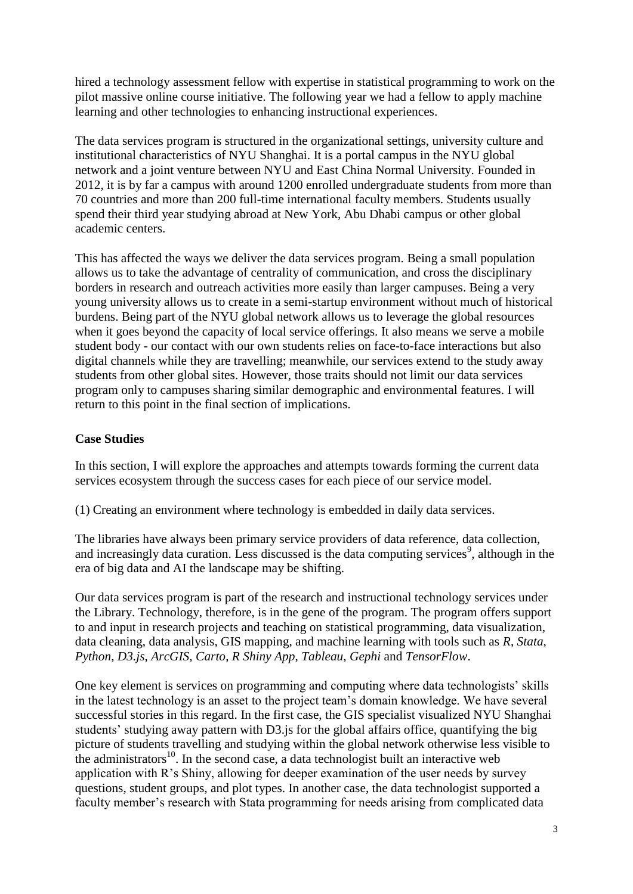hired a technology assessment fellow with expertise in statistical programming to work on the pilot massive online course initiative. The following year we had a fellow to apply machine learning and other technologies to enhancing instructional experiences.

The data services program is structured in the organizational settings, university culture and institutional characteristics of NYU Shanghai. It is a portal campus in the NYU global network and a joint venture between NYU and East China Normal University. Founded in 2012, it is by far a campus with around 1200 enrolled undergraduate students from more than 70 countries and more than 200 full-time international faculty members. Students usually spend their third year studying abroad at New York, Abu Dhabi campus or other global academic centers.

This has affected the ways we deliver the data services program. Being a small population allows us to take the advantage of centrality of communication, and cross the disciplinary borders in research and outreach activities more easily than larger campuses. Being a very young university allows us to create in a semi-startup environment without much of historical burdens. Being part of the NYU global network allows us to leverage the global resources when it goes beyond the capacity of local service offerings. It also means we serve a mobile student body - our contact with our own students relies on face-to-face interactions but also digital channels while they are travelling; meanwhile, our services extend to the study away students from other global sites. However, those traits should not limit our data services program only to campuses sharing similar demographic and environmental features. I will return to this point in the final section of implications.

# **Case Studies**

In this section, I will explore the approaches and attempts towards forming the current data services ecosystem through the success cases for each piece of our service model.

(1) Creating an environment where technology is embedded in daily data services.

The libraries have always been primary service providers of data reference, data collection, and increasingly data curation. Less discussed is the data computing services<sup>9</sup>, although in the era of big data and AI the landscape may be shifting.

Our data services program is part of the research and instructional technology services under the Library. Technology, therefore, is in the gene of the program. The program offers support to and input in research projects and teaching on statistical programming, data visualization, data cleaning, data analysis, GIS mapping, and machine learning with tools such as *R*, *Stata*, *Python*, *D3.js*, *ArcGIS, Carto*, *R Shiny App*, *Tableau*, *Gephi* and *TensorFlow*.

One key element is services on programming and computing where data technologists' skills in the latest technology is an asset to the project team's domain knowledge. We have several successful stories in this regard. In the first case, the GIS specialist visualized NYU Shanghai students' studying away pattern with D3.js for the global affairs office, quantifying the big picture of students travelling and studying within the global network otherwise less visible to the administrators<sup>10</sup>. In the second case, a data technologist built an interactive web application with R's Shiny, allowing for deeper examination of the user needs by survey questions, student groups, and plot types. In another case, the data technologist supported a faculty member's research with Stata programming for needs arising from complicated data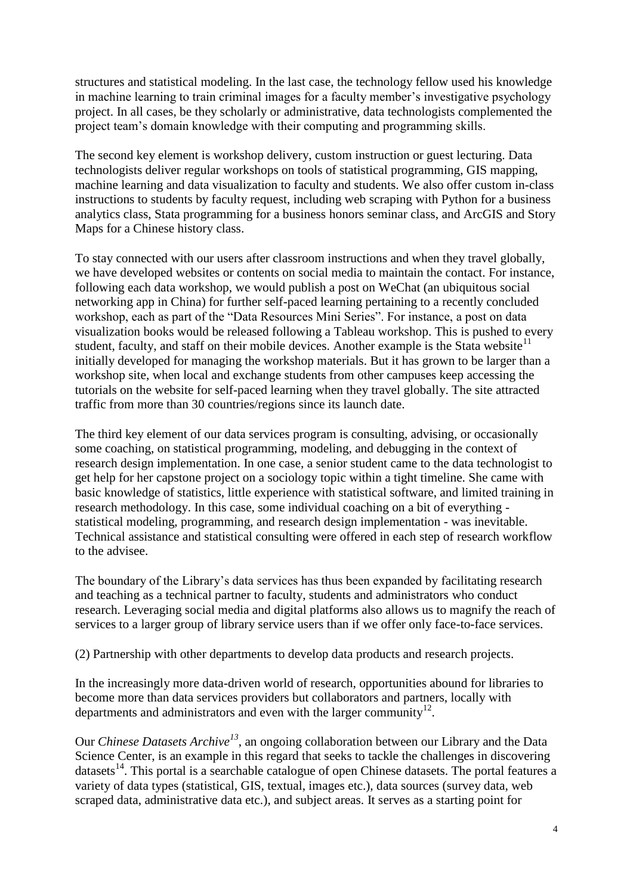structures and statistical modeling. In the last case, the technology fellow used his knowledge in machine learning to train criminal images for a faculty member's investigative psychology project. In all cases, be they scholarly or administrative, data technologists complemented the project team's domain knowledge with their computing and programming skills.

The second key element is workshop delivery, custom instruction or guest lecturing. Data technologists deliver regular workshops on tools of statistical programming, GIS mapping, machine learning and data visualization to faculty and students. We also offer custom in-class instructions to students by faculty request, including web scraping with Python for a business analytics class, Stata programming for a business honors seminar class, and ArcGIS and Story Maps for a Chinese history class.

To stay connected with our users after classroom instructions and when they travel globally, we have developed websites or contents on social media to maintain the contact. For instance, following each data workshop, we would publish a post on WeChat (an ubiquitous social networking app in China) for further self-paced learning pertaining to a recently concluded workshop, each as part of the "Data Resources Mini Series". For instance, a post on data visualization books would be released following a Tableau workshop. This is pushed to every student, faculty, and staff on their mobile devices. Another example is the Stata website<sup>11</sup> initially developed for managing the workshop materials. But it has grown to be larger than a workshop site, when local and exchange students from other campuses keep accessing the tutorials on the website for self-paced learning when they travel globally. The site attracted traffic from more than 30 countries/regions since its launch date.

The third key element of our data services program is consulting, advising, or occasionally some coaching, on statistical programming, modeling, and debugging in the context of research design implementation. In one case, a senior student came to the data technologist to get help for her capstone project on a sociology topic within a tight timeline. She came with basic knowledge of statistics, little experience with statistical software, and limited training in research methodology. In this case, some individual coaching on a bit of everything statistical modeling, programming, and research design implementation - was inevitable. Technical assistance and statistical consulting were offered in each step of research workflow to the advisee.

The boundary of the Library's data services has thus been expanded by facilitating research and teaching as a technical partner to faculty, students and administrators who conduct research. Leveraging social media and digital platforms also allows us to magnify the reach of services to a larger group of library service users than if we offer only face-to-face services.

(2) Partnership with other departments to develop data products and research projects.

In the increasingly more data-driven world of research, opportunities abound for libraries to become more than data services providers but collaborators and partners, locally with departments and administrators and even with the larger community $12$ .

Our *Chinese Datasets Archive<sup>13</sup>*, an ongoing collaboration between our Library and the Data Science Center, is an example in this regard that seeks to tackle the challenges in discovering datasets<sup>14</sup>. This portal is a searchable catalogue of open Chinese datasets. The portal features a variety of data types (statistical, GIS, textual, images etc.), data sources (survey data, web scraped data, administrative data etc.), and subject areas. It serves as a starting point for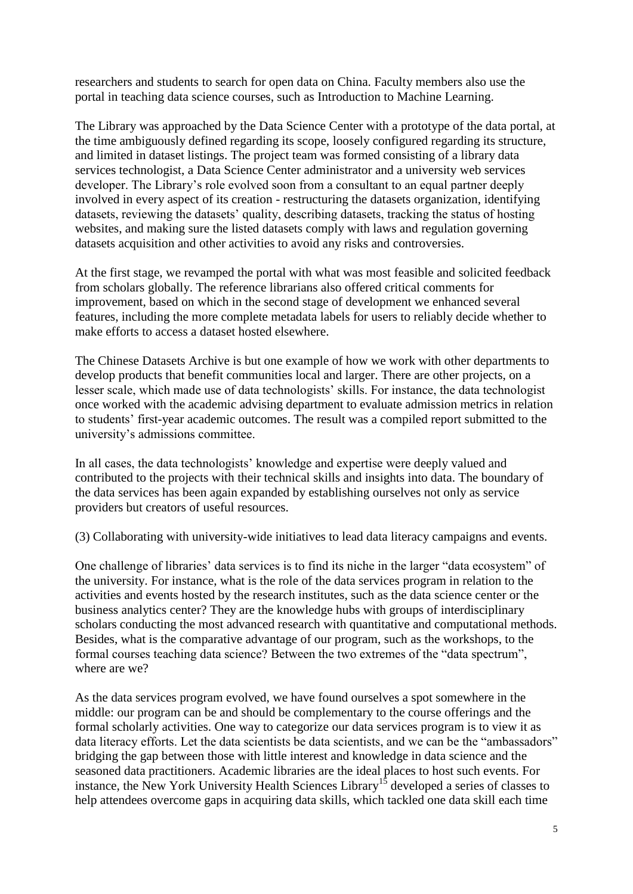researchers and students to search for open data on China. Faculty members also use the portal in teaching data science courses, such as Introduction to Machine Learning.

The Library was approached by the Data Science Center with a prototype of the data portal, at the time ambiguously defined regarding its scope, loosely configured regarding its structure, and limited in dataset listings. The project team was formed consisting of a library data services technologist, a Data Science Center administrator and a university web services developer. The Library's role evolved soon from a consultant to an equal partner deeply involved in every aspect of its creation - restructuring the datasets organization, identifying datasets, reviewing the datasets' quality, describing datasets, tracking the status of hosting websites, and making sure the listed datasets comply with laws and regulation governing datasets acquisition and other activities to avoid any risks and controversies.

At the first stage, we revamped the portal with what was most feasible and solicited feedback from scholars globally. The reference librarians also offered critical comments for improvement, based on which in the second stage of development we enhanced several features, including the more complete metadata labels for users to reliably decide whether to make efforts to access a dataset hosted elsewhere.

The Chinese Datasets Archive is but one example of how we work with other departments to develop products that benefit communities local and larger. There are other projects, on a lesser scale, which made use of data technologists' skills. For instance, the data technologist once worked with the academic advising department to evaluate admission metrics in relation to students' first-year academic outcomes. The result was a compiled report submitted to the university's admissions committee.

In all cases, the data technologists' knowledge and expertise were deeply valued and contributed to the projects with their technical skills and insights into data. The boundary of the data services has been again expanded by establishing ourselves not only as service providers but creators of useful resources.

(3) Collaborating with university-wide initiatives to lead data literacy campaigns and events.

One challenge of libraries' data services is to find its niche in the larger "data ecosystem" of the university. For instance, what is the role of the data services program in relation to the activities and events hosted by the research institutes, such as the data science center or the business analytics center? They are the knowledge hubs with groups of interdisciplinary scholars conducting the most advanced research with quantitative and computational methods. Besides, what is the comparative advantage of our program, such as the workshops, to the formal courses teaching data science? Between the two extremes of the "data spectrum", where are we?

As the data services program evolved, we have found ourselves a spot somewhere in the middle: our program can be and should be complementary to the course offerings and the formal scholarly activities. One way to categorize our data services program is to view it as data literacy efforts. Let the data scientists be data scientists, and we can be the "ambassadors" bridging the gap between those with little interest and knowledge in data science and the seasoned data practitioners. Academic libraries are the ideal places to host such events. For instance, the New York University Health Sciences Library<sup>15</sup> developed a series of classes to help attendees overcome gaps in acquiring data skills, which tackled one data skill each time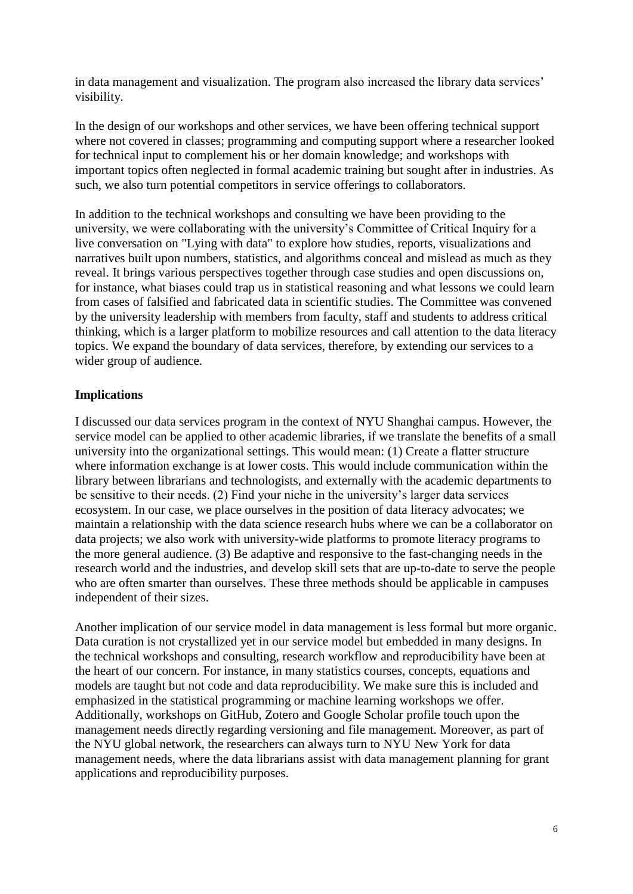in data management and visualization. The program also increased the library data services' visibility.

In the design of our workshops and other services, we have been offering technical support where not covered in classes; programming and computing support where a researcher looked for technical input to complement his or her domain knowledge; and workshops with important topics often neglected in formal academic training but sought after in industries. As such, we also turn potential competitors in service offerings to collaborators.

In addition to the technical workshops and consulting we have been providing to the university, we were collaborating with the university's Committee of Critical Inquiry for a live conversation on "Lying with data" to explore how studies, reports, visualizations and narratives built upon numbers, statistics, and algorithms conceal and mislead as much as they reveal. It brings various perspectives together through case studies and open discussions on, for instance, what biases could trap us in statistical reasoning and what lessons we could learn from cases of falsified and fabricated data in scientific studies. The Committee was convened by the university leadership with members from faculty, staff and students to address critical thinking, which is a larger platform to mobilize resources and call attention to the data literacy topics. We expand the boundary of data services, therefore, by extending our services to a wider group of audience.

# **Implications**

I discussed our data services program in the context of NYU Shanghai campus. However, the service model can be applied to other academic libraries, if we translate the benefits of a small university into the organizational settings. This would mean: (1) Create a flatter structure where information exchange is at lower costs. This would include communication within the library between librarians and technologists, and externally with the academic departments to be sensitive to their needs. (2) Find your niche in the university's larger data services ecosystem. In our case, we place ourselves in the position of data literacy advocates; we maintain a relationship with the data science research hubs where we can be a collaborator on data projects; we also work with university-wide platforms to promote literacy programs to the more general audience. (3) Be adaptive and responsive to the fast-changing needs in the research world and the industries, and develop skill sets that are up-to-date to serve the people who are often smarter than ourselves. These three methods should be applicable in campuses independent of their sizes.

Another implication of our service model in data management is less formal but more organic. Data curation is not crystallized yet in our service model but embedded in many designs. In the technical workshops and consulting, research workflow and reproducibility have been at the heart of our concern. For instance, in many statistics courses, concepts, equations and models are taught but not code and data reproducibility. We make sure this is included and emphasized in the statistical programming or machine learning workshops we offer. Additionally, workshops on GitHub, Zotero and Google Scholar profile touch upon the management needs directly regarding versioning and file management. Moreover, as part of the NYU global network, the researchers can always turn to NYU New York for data management needs, where the data librarians assist with data management planning for grant applications and reproducibility purposes.